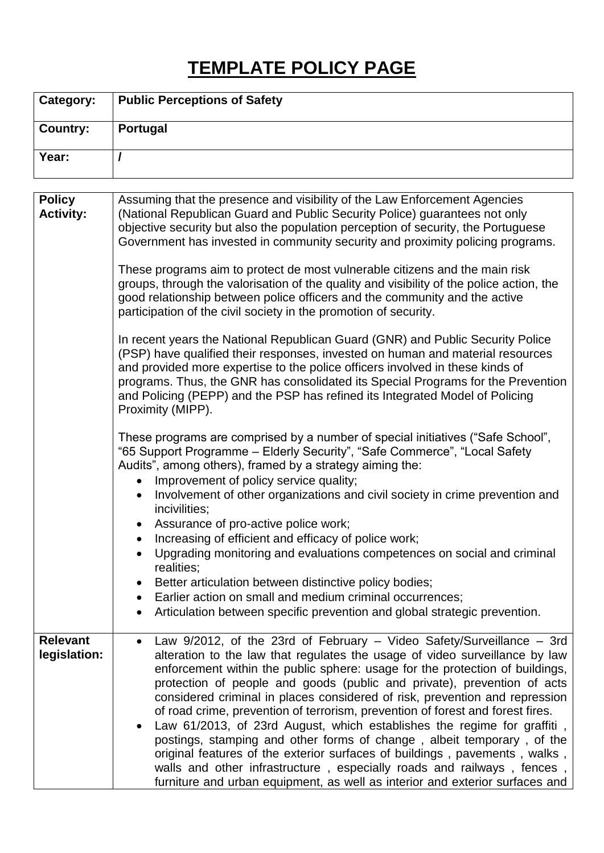## **TEMPLATE POLICY PAGE**

| <b>Category:</b> | <b>Public Perceptions of Safety</b> |
|------------------|-------------------------------------|
| <b>Country:</b>  | Portugal                            |
| Year:            |                                     |

| <b>Policy</b><br><b>Activity:</b> | Assuming that the presence and visibility of the Law Enforcement Agencies<br>(National Republican Guard and Public Security Police) guarantees not only<br>objective security but also the population perception of security, the Portuguese<br>Government has invested in community security and proximity policing programs.<br>These programs aim to protect de most vulnerable citizens and the main risk<br>groups, through the valorisation of the quality and visibility of the police action, the<br>good relationship between police officers and the community and the active<br>participation of the civil society in the promotion of security.<br>In recent years the National Republican Guard (GNR) and Public Security Police                                                                                                                                 |
|-----------------------------------|-------------------------------------------------------------------------------------------------------------------------------------------------------------------------------------------------------------------------------------------------------------------------------------------------------------------------------------------------------------------------------------------------------------------------------------------------------------------------------------------------------------------------------------------------------------------------------------------------------------------------------------------------------------------------------------------------------------------------------------------------------------------------------------------------------------------------------------------------------------------------------|
|                                   | (PSP) have qualified their responses, invested on human and material resources<br>and provided more expertise to the police officers involved in these kinds of<br>programs. Thus, the GNR has consolidated its Special Programs for the Prevention<br>and Policing (PEPP) and the PSP has refined its Integrated Model of Policing<br>Proximity (MIPP).                                                                                                                                                                                                                                                                                                                                                                                                                                                                                                                      |
|                                   | These programs are comprised by a number of special initiatives ("Safe School",<br>"65 Support Programme - Elderly Security", "Safe Commerce", "Local Safety<br>Audits", among others), framed by a strategy aiming the:<br>Improvement of policy service quality;<br>Involvement of other organizations and civil society in crime prevention and<br>incivilities;<br>Assurance of pro-active police work;<br>Increasing of efficient and efficacy of police work;<br>Upgrading monitoring and evaluations competences on social and criminal<br>realities;<br>Better articulation between distinctive policy bodies;<br>• Earlier action on small and medium criminal occurrences;<br>Articulation between specific prevention and global strategic prevention.                                                                                                             |
| <b>Relevant</b><br>legislation:   | Law 9/2012, of the 23rd of February - Video Safety/Surveillance - 3rd<br>alteration to the law that regulates the usage of video surveillance by law<br>enforcement within the public sphere: usage for the protection of buildings,<br>protection of people and goods (public and private), prevention of acts<br>considered criminal in places considered of risk, prevention and repression<br>of road crime, prevention of terrorism, prevention of forest and forest fires.<br>Law 61/2013, of 23rd August, which establishes the regime for graffiti,<br>postings, stamping and other forms of change, albeit temporary, of the<br>original features of the exterior surfaces of buildings, pavements, walks,<br>walls and other infrastructure, especially roads and railways, fences,<br>furniture and urban equipment, as well as interior and exterior surfaces and |